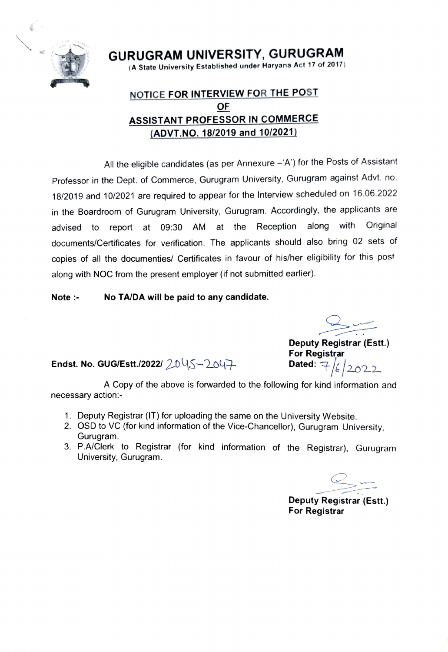

GURUGRAM UNIVERSITY, GURUGRAM (A State University Established under Haryana Act 17 of 2017)

## NOTICE FORINTERVIEW FOR THE POST OF ASSISTANT PROFESSOR IN COMMERCE (ADVT.NO. 18/2019 and 10/2021)

All the eligible candidates (as per Annexure  $- A'$ ) for the Posts of Assistant Professor in the Dept. of Commerce, Gurugram University, Gurugram against Advt. no. 18/2019 and 10/2021 are required to appear for the Interview scheduled on 16.06.2022 advised to report at 09:30 AM at the Reception along with documents/Certificates for verification. The applicants should also bring 02 sets of in the Boardroom of Gurugram University, Gurugram. Accordingly, the applicants are **Original** copies of all the documenties/ Certificates in favour of his/her eligibility for this post along with NOC from the present employer (if not submitted earlier).

## Note:- No TA/DA will be paid to any candidate.

Deputy Registrar (Estt.) For Registrar

Endst. No. GUG/Estt./2022/  $20\sqrt{5}-204$ . Dated:

A Copy of the above is forwarded to the following for kind information and necessary action:-

- 1. Deputy Registrar (IT) for uploading the same on the University Website.
- 2. OSD to Vc (for kind information of the Vice-Chancellor), Gurugram University. Gurugram.
- 3. P.A/Clerk to Registrar (for kind information of the Registrar), Gurugram University, Gurugram.

Deputy Registrar (Estt.) For Registrar